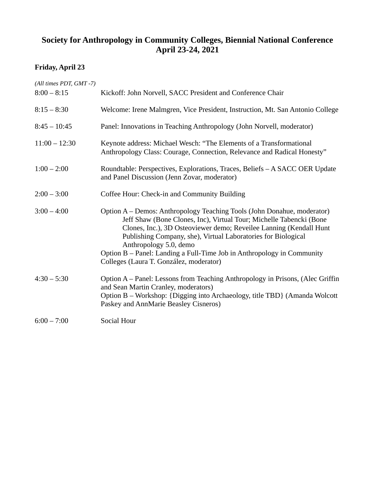# **Society for Anthropology in Community Colleges, Biennial National Conference April 23-24, 2021**

## **Friday, April 23**

| (All times PDT, GMT-7)<br>$8:00 - 8:15$ | Kickoff: John Norvell, SACC President and Conference Chair                                                                                                                                                                                                                                                                                                                                                                           |
|-----------------------------------------|--------------------------------------------------------------------------------------------------------------------------------------------------------------------------------------------------------------------------------------------------------------------------------------------------------------------------------------------------------------------------------------------------------------------------------------|
| $8:15 - 8:30$                           | Welcome: Irene Malmgren, Vice President, Instruction, Mt. San Antonio College                                                                                                                                                                                                                                                                                                                                                        |
| $8:45 - 10:45$                          | Panel: Innovations in Teaching Anthropology (John Norvell, moderator)                                                                                                                                                                                                                                                                                                                                                                |
| $11:00 - 12:30$                         | Keynote address: Michael Wesch: "The Elements of a Transformational<br>Anthropology Class: Courage, Connection, Relevance and Radical Honesty"                                                                                                                                                                                                                                                                                       |
| $1:00 - 2:00$                           | Roundtable: Perspectives, Explorations, Traces, Beliefs - A SACC OER Update<br>and Panel Discussion (Jenn Zovar, moderator)                                                                                                                                                                                                                                                                                                          |
| $2:00 - 3:00$                           | Coffee Hour: Check-in and Community Building                                                                                                                                                                                                                                                                                                                                                                                         |
| $3:00 - 4:00$                           | Option A – Demos: Anthropology Teaching Tools (John Donahue, moderator)<br>Jeff Shaw (Bone Clones, Inc), Virtual Tour; Michelle Tabencki (Bone<br>Clones, Inc.), 3D Osteoviewer demo; Reveilee Lanning (Kendall Hunt<br>Publishing Company, she), Virtual Laboratories for Biological<br>Anthropology 5.0, demo<br>Option B - Panel: Landing a Full-Time Job in Anthropology in Community<br>Colleges (Laura T. González, moderator) |
| $4:30 - 5:30$                           | Option A – Panel: Lessons from Teaching Anthropology in Prisons, (Alec Griffin<br>and Sean Martin Cranley, moderators)<br>Option B – Workshop: {Digging into Archaeology, title TBD} (Amanda Wolcott<br>Paskey and AnnMarie Beasley Cisneros)                                                                                                                                                                                        |
| $6:00 - 7:00$                           | Social Hour                                                                                                                                                                                                                                                                                                                                                                                                                          |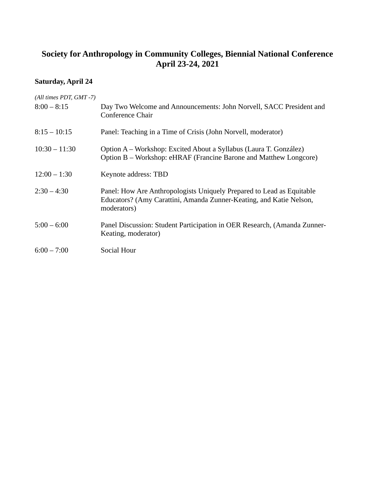# **Society for Anthropology in Community Colleges, Biennial National Conference April 23-24, 2021**

## **Saturday, April 24**

| Day Two Welcome and Announcements: John Norvell, SACC President and<br>Conference Chair                                                                     |
|-------------------------------------------------------------------------------------------------------------------------------------------------------------|
| Panel: Teaching in a Time of Crisis (John Norvell, moderator)                                                                                               |
| Option A – Workshop: Excited About a Syllabus (Laura T. González)<br>Option B – Workshop: eHRAF (Francine Barone and Matthew Longcore)                      |
| Keynote address: TBD                                                                                                                                        |
| Panel: How Are Anthropologists Uniquely Prepared to Lead as Equitable<br>Educators? (Amy Carattini, Amanda Zunner-Keating, and Katie Nelson,<br>moderators) |
| Panel Discussion: Student Participation in OER Research, (Amanda Zunner-<br>Keating, moderator)                                                             |
| Social Hour                                                                                                                                                 |
|                                                                                                                                                             |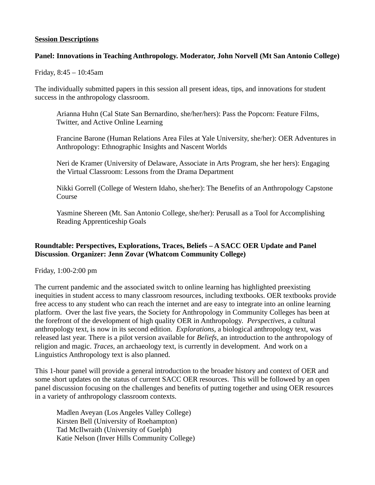#### **Session Descriptions**

#### **Panel: Innovations in Teaching Anthropology. Moderator, John Norvell (Mt San Antonio College)**

Friday, 8:45 – 10:45am

The individually submitted papers in this session all present ideas, tips, and innovations for student success in the anthropology classroom.

Arianna Huhn (Cal State San Bernardino, she/her/hers): Pass the Popcorn: Feature Films, Twitter, and Active Online Learning

Francine Barone (Human Relations Area Files at Yale University, she/her): OER Adventures in Anthropology: Ethnographic Insights and Nascent Worlds

Neri de Kramer (University of Delaware, Associate in Arts Program, she her hers): Engaging the Virtual Classroom: Lessons from the Drama Department

Nikki Gorrell (College of Western Idaho, she/her): The Benefits of an Anthropology Capstone Course

Yasmine Shereen (Mt. San Antonio College, she/her): Perusall as a Tool for Accomplishing Reading Apprenticeship Goals

## **Roundtable: Perspectives, Explorations, Traces, Beliefs – A SACC OER Update and Panel Discussion**. **Organizer: Jenn Zovar (Whatcom Community College)**

Friday, 1:00-2:00 pm

The current pandemic and the associated switch to online learning has highlighted preexisting inequities in student access to many classroom resources, including textbooks. OER textbooks provide free access to any student who can reach the internet and are easy to integrate into an online learning platform. Over the last five years, the Society for Anthropology in Community Colleges has been at the forefront of the development of high quality OER in Anthropology. *Perspectives,* a cultural anthropology text, is now in its second edition. *Explorations,* a biological anthropology text, was released last year. There is a pilot version available for *Beliefs,* an introduction to the anthropology of religion and magic. *Traces,* an archaeology text, is currently in development. And work on a Linguistics Anthropology text is also planned.

This 1-hour panel will provide a general introduction to the broader history and context of OER and some short updates on the status of current SACC OER resources. This will be followed by an open panel discussion focusing on the challenges and benefits of putting together and using OER resources in a variety of anthropology classroom contexts.

Madlen Aveyan (Los Angeles Valley College) Kirsten Bell (University of Roehampton) Tad McIlwraith (University of Guelph) Katie Nelson (Inver Hills Community College)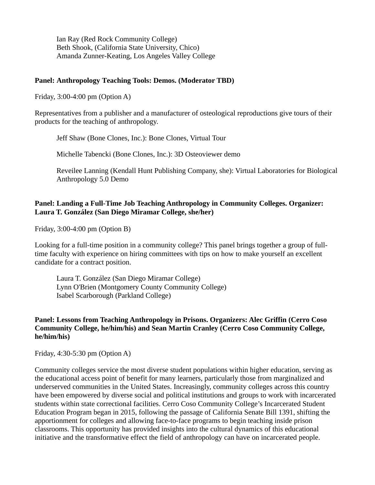Ian Ray (Red Rock Community College) Beth Shook, (California State University, Chico) Amanda Zunner-Keating, Los Angeles Valley College

#### **Panel: Anthropology Teaching Tools: Demos. (Moderator TBD)**

Friday, 3:00-4:00 pm (Option A)

Representatives from a publisher and a manufacturer of osteological reproductions give tours of their products for the teaching of anthropology.

Jeff Shaw (Bone Clones, Inc.): Bone Clones, Virtual Tour

Michelle Tabencki (Bone Clones, Inc.): 3D Osteoviewer demo

Reveilee Lanning (Kendall Hunt Publishing Company, she): Virtual Laboratories for Biological Anthropology 5.0 Demo

## **Panel: Landing a Full-Time Job Teaching Anthropology in Community Colleges. Organizer: Laura T. González (San Diego Miramar College, she/her)**

Friday, 3:00-4:00 pm (Option B)

Looking for a full-time position in a community college? This panel brings together a group of fulltime faculty with experience on hiring committees with tips on how to make yourself an excellent candidate for a contract position.

Laura T. González (San Diego Miramar College) Lynn O'Brien (Montgomery County Community College) Isabel Scarborough (Parkland College)

## **Panel: Lessons from Teaching Anthropology in Prisons. Organizers: Alec Griffin (Cerro Coso Community College, he/him/his) and Sean Martin Cranley (Cerro Coso Community College, he/him/his)**

Friday, 4:30-5:30 pm (Option A)

Community colleges service the most diverse student populations within higher education, serving as the educational access point of benefit for many learners, particularly those from marginalized and underserved communities in the United States. Increasingly, community colleges across this country have been empowered by diverse social and political institutions and groups to work with incarcerated students within state correctional facilities. Cerro Coso Community College's Incarcerated Student Education Program began in 2015, following the passage of California Senate Bill 1391, shifting the apportionment for colleges and allowing face-to-face programs to begin teaching inside prison classrooms. This opportunity has provided insights into the cultural dynamics of this educational initiative and the transformative effect the field of anthropology can have on incarcerated people.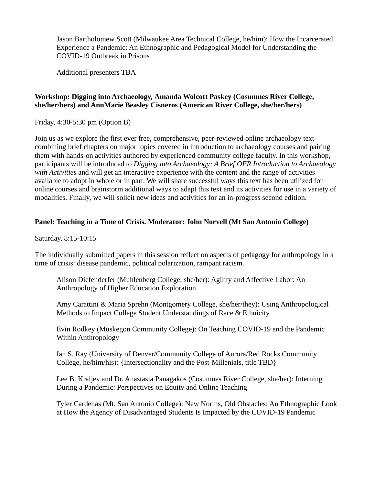Jason Bartholomew Scott (Milwaukee Area Technical College, he/him): How the Incarcerated Experience a Pandemic: An Ethnographic and Pedagogical Model for Understanding the COVID-19 Outbreak in Prisons

Additional presenters TBA

#### **Workshop: Digging into Archaeology, Amanda Wolcott Paskey (Cosumnes River College, she/her/hers) and AnnMarie Beasley Cisneros (American River College, she/her/hers)**

Friday, 4:30-5:30 pm (Option B)

Join us as we explore the first ever free, comprehensive, peer-reviewed online archaeology text combining brief chapters on major topics covered in introduction to archaeology courses and pairing them with hands-on activities authored by experienced community college faculty. In this workshop, participants will be introduced to *Digging into Archaeology: A Brief OER Introduction to Archaeology with Activities* and will get an interactive experience with the content and the range of activities available to adopt in whole or in part. We will share successful ways this text has been utilized for online courses and brainstorm additional ways to adapt this text and its activities for use in a variety of modalities. Finally, we will solicit new ideas and activities for an in-progress second edition.

## **Panel: Teaching in a Time of Crisis. Moderator: John Norvell (Mt San Antonio College)**

Saturday, 8:15-10:15

The individually submitted papers in this session reflect on aspects of pedagogy for anthropology in a time of crisis: disease pandemic, political polarization, rampant racism.

Alison Diefenderfer (Muhlenberg College, she/her): Agility and Affective Labor: An Anthropology of Higher Education Exploration

Amy Carattini & Maria Sprehn (Montgomery College, she/her/they): Using Anthropological Methods to Impact College Student Understandings of Race & Ethnicity

Evin Rodkey (Muskegon Community College): On Teaching COVID-19 and the Pandemic Within Anthropology

Ian S. Ray (University of Denver/Community College of Aurora/Red Rocks Community College, he/him/his): {Intersectionality and the Post-Millenials, title TBD}

Lee B. Kraljev and Dr. Anastasia Panagakos (Cosumnes River College, she/her): Interning During a Pandemic: Perspectives on Equity and Online Teaching

Tyler Cardenas (Mt. San Antonio College): New Norms, Old Obstacles: An Ethnographic Look at How the Agency of Disadvantaged Students Is Impacted by the COVID-19 Pandemic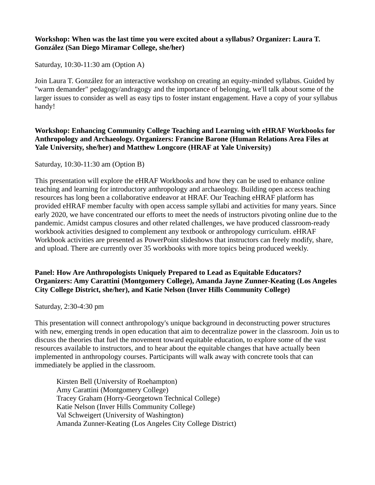#### **Workshop: When was the last time you were excited about a syllabus? Organizer: Laura T. González (San Diego Miramar College, she/her)**

Saturday, 10:30-11:30 am (Option A)

Join Laura T. González for an interactive workshop on creating an equity-minded syllabus. Guided by "warm demander" pedagogy/andragogy and the importance of belonging, we'll talk about some of the larger issues to consider as well as easy tips to foster instant engagement. Have a copy of your syllabus handy!

#### **Workshop: Enhancing Community College Teaching and Learning with eHRAF Workbooks for Anthropology and Archaeology. Organizers: Francine Barone (Human Relations Area Files at Yale University, she/her) and Matthew Longcore (HRAF at Yale University)**

Saturday, 10:30-11:30 am (Option B)

This presentation will explore the eHRAF Workbooks and how they can be used to enhance online teaching and learning for introductory anthropology and archaeology. Building open access teaching resources has long been a collaborative endeavor at HRAF. Our Teaching eHRAF platform has provided eHRAF member faculty with open access sample syllabi and activities for many years. Since early 2020, we have concentrated our efforts to meet the needs of instructors pivoting online due to the pandemic. Amidst campus closures and other related challenges, we have produced classroom-ready workbook activities designed to complement any textbook or anthropology curriculum. eHRAF Workbook activities are presented as PowerPoint slideshows that instructors can freely modify, share, and upload. There are currently over 35 workbooks with more topics being produced weekly.

## **Panel: How Are Anthropologists Uniquely Prepared to Lead as Equitable Educators? Organizers: Amy Carattini (Montgomery College), Amanda Jayne Zunner-Keating (Los Angeles City College District, she/her), and Katie Nelson (Inver Hills Community College)**

Saturday, 2:30-4:30 pm

This presentation will connect anthropology's unique background in deconstructing power structures with new, emerging trends in open education that aim to decentralize power in the classroom. Join us to discuss the theories that fuel the movement toward equitable education, to explore some of the vast resources available to instructors, and to hear about the equitable changes that have actually been implemented in anthropology courses. Participants will walk away with concrete tools that can immediately be applied in the classroom.

Kirsten Bell (University of Roehampton) Amy Carattini (Montgomery College) Tracey Graham (Horry-Georgetown Technical College) Katie Nelson (Inver Hills Community College) Val Schweigert (University of Washington) Amanda Zunner-Keating (Los Angeles City College District)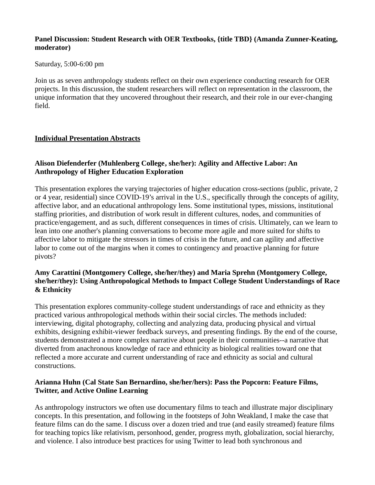#### **Panel Discussion: Student Research with OER Textbooks, {title TBD} (Amanda Zunner-Keating, moderator)**

Saturday, 5:00-6:00 pm

Join us as seven anthropology students reflect on their own experience conducting research for OER projects. In this discussion, the student researchers will reflect on representation in the classroom, the unique information that they uncovered throughout their research, and their role in our ever-changing field.

## **Individual Presentation Abstracts**

## **Alison Diefenderfer (Muhlenberg College, she/her): Agility and Affective Labor: An Anthropology of Higher Education Exploration**

This presentation explores the varying trajectories of higher education cross-sections (public, private, 2 or 4 year, residential) since COVID-19's arrival in the U.S., specifically through the concepts of agility, affective labor, and an educational anthropology lens. Some institutional types, missions, institutional staffing priorities, and distribution of work result in different cultures, nodes, and communities of practice/engagement, and as such, different consequences in times of crisis. Ultimately, can we learn to lean into one another's planning conversations to become more agile and more suited for shifts to affective labor to mitigate the stressors in times of crisis in the future, and can agility and affective labor to come out of the margins when it comes to contingency and proactive planning for future pivots?

#### **Amy Carattini (Montgomery College, she/her/they) and Maria Sprehn (Montgomery College, she/her/they): Using Anthropological Methods to Impact College Student Understandings of Race & Ethnicity**

This presentation explores community-college student understandings of race and ethnicity as they practiced various anthropological methods within their social circles. The methods included: interviewing, digital photography, collecting and analyzing data, producing physical and virtual exhibits, designing exhibit-viewer feedback surveys, and presenting findings. By the end of the course, students demonstrated a more complex narrative about people in their communities--a narrative that diverted from anachronous knowledge of race and ethnicity as biological realities toward one that reflected a more accurate and current understanding of race and ethnicity as social and cultural constructions.

## **Arianna Huhn (Cal State San Bernardino, she/her/hers): Pass the Popcorn: Feature Films, Twitter, and Active Online Learning**

As anthropology instructors we often use documentary films to teach and illustrate major disciplinary concepts. In this presentation, and following in the footsteps of John Weakland, I make the case that feature films can do the same. I discuss over a dozen tried and true (and easily streamed) feature films for teaching topics like relativism, personhood, gender, progress myth, globalization, social hierarchy, and violence. I also introduce best practices for using Twitter to lead both synchronous and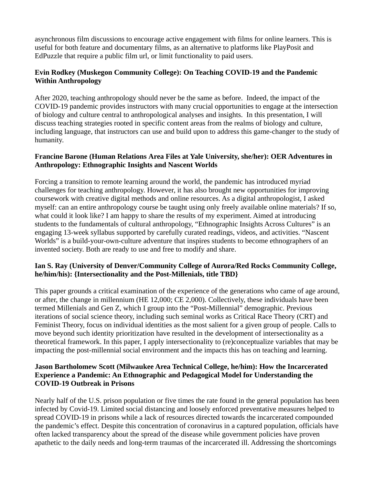asynchronous film discussions to encourage active engagement with films for online learners. This is useful for both feature and documentary films, as an alternative to platforms like PlayPosit and EdPuzzle that require a public film url, or limit functionality to paid users.

## **Evin Rodkey (Muskegon Community College): On Teaching COVID-19 and the Pandemic Within Anthropology**

After 2020, teaching anthropology should never be the same as before. Indeed, the impact of the COVID-19 pandemic provides instructors with many crucial opportunities to engage at the intersection of biology and culture central to anthropological analyses and insights. In this presentation, I will discuss teaching strategies rooted in specific content areas from the realms of biology and culture, including language, that instructors can use and build upon to address this game-changer to the study of humanity.

## **Francine Barone (Human Relations Area Files at Yale University, she/her): OER Adventures in Anthropology: Ethnographic Insights and Nascent Worlds**

Forcing a transition to remote learning around the world, the pandemic has introduced myriad challenges for teaching anthropology. However, it has also brought new opportunities for improving coursework with creative digital methods and online resources. As a digital anthropologist, I asked myself: can an entire anthropology course be taught using only freely available online materials? If so, what could it look like? I am happy to share the results of my experiment. Aimed at introducing students to the fundamentals of cultural anthropology, "Ethnographic Insights Across Cultures" is an engaging 13-week syllabus supported by carefully curated readings, videos, and activities. "Nascent Worlds" is a build-your-own-culture adventure that inspires students to become ethnographers of an invented society. Both are ready to use and free to modify and share.

## **Ian S. Ray (University of Denver/Community College of Aurora/Red Rocks Community College, he/him/his): {Intersectionality and the Post-Millenials, title TBD}**

This paper grounds a critical examination of the experience of the generations who came of age around, or after, the change in millennium (HE 12,000; CE 2,000). Collectively, these individuals have been termed Millenials and Gen Z, which I group into the "Post-Millennial" demographic. Previous iterations of social science theory, including such seminal works as Critical Race Theory (CRT) and Feminist Theory, focus on individual identities as the most salient for a given group of people. Calls to move beyond such identity prioritization have resulted in the development of intersectionality as a theoretical framework. In this paper, I apply intersectionality to (re)conceptualize variables that may be impacting the post-millennial social environment and the impacts this has on teaching and learning.

## **Jason Bartholomew Scott (Milwaukee Area Technical College, he/him): How the Incarcerated Experience a Pandemic: An Ethnographic and Pedagogical Model for Understanding the COVID-19 Outbreak in Prisons**

Nearly half of the U.S. prison population or five times the rate found in the general population has been infected by Covid-19. Limited social distancing and loosely enforced preventative measures helped to spread COVID-19 in prisons while a lack of resources directed towards the incarcerated compounded the pandemic's effect. Despite this concentration of coronavirus in a captured population, officials have often lacked transparency about the spread of the disease while government policies have proven apathetic to the daily needs and long-term traumas of the incarcerated ill. Addressing the shortcomings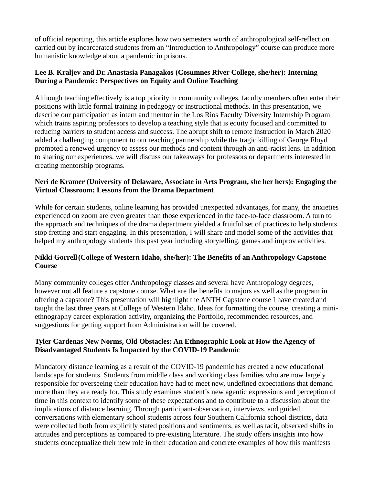of official reporting, this article explores how two semesters worth of anthropological self-reflection carried out by incarcerated students from an "Introduction to Anthropology" course can produce more humanistic knowledge about a pandemic in prisons.

## **Lee B. Kraljev and Dr. Anastasia Panagakos (Cosumnes River College, she/her): Interning During a Pandemic: Perspectives on Equity and Online Teaching**

Although teaching effectively is a top priority in community colleges, faculty members often enter their positions with little formal training in pedagogy or instructional methods. In this presentation, we describe our participation as intern and mentor in the Los Rios Faculty Diversity Internship Program which trains aspiring professors to develop a teaching style that is equity focused and committed to reducing barriers to student access and success. The abrupt shift to remote instruction in March 2020 added a challenging component to our teaching partnership while the tragic killing of George Floyd prompted a renewed urgency to assess our methods and content through an anti-racist lens. In addition to sharing our experiences, we will discuss our takeaways for professors or departments interested in creating mentorship programs.

## **Neri de Kramer (University of Delaware, Associate in Arts Program, she her hers): Engaging the Virtual Classroom: Lessons from the Drama Department**

While for certain students, online learning has provided unexpected advantages, for many, the anxieties experienced on zoom are even greater than those experienced in the face-to-face classroom. A turn to the approach and techniques of the drama department yielded a fruitful set of practices to help students stop fretting and start engaging. In this presentation, I will share and model some of the activities that helped my anthropology students this past year including storytelling, games and improv activities.

## **Nikki Gorrell(College of Western Idaho, she/her): The Benefits of an Anthropology Capstone Course**

Many community colleges offer Anthropology classes and several have Anthropology degrees, however not all feature a capstone course. What are the benefits to majors as well as the program in offering a capstone? This presentation will highlight the ANTH Capstone course I have created and taught the last three years at College of Western Idaho. Ideas for formatting the course, creating a miniethnography career exploration activity, organizing the Portfolio, recommended resources, and suggestions for getting support from Administration will be covered.

## **Tyler Cardenas New Norms, Old Obstacles: An Ethnographic Look at How the Agency of Disadvantaged Students Is Impacted by the COVID-19 Pandemic**

Mandatory distance learning as a result of the COVID-19 pandemic has created a new educational landscape for students. Students from middle class and working class families who are now largely responsible for overseeing their education have had to meet new, undefined expectations that demand more than they are ready for. This study examines student's new agentic expressions and perception of time in this context to identify some of these expectations and to contribute to a discussion about the implications of distance learning. Through participant-observation, interviews, and guided conversations with elementary school students across four Southern California school districts, data were collected both from explicitly stated positions and sentiments, as well as tacit, observed shifts in attitudes and perceptions as compared to pre-existing literature. The study offers insights into how students conceptualize their new role in their education and concrete examples of how this manifests